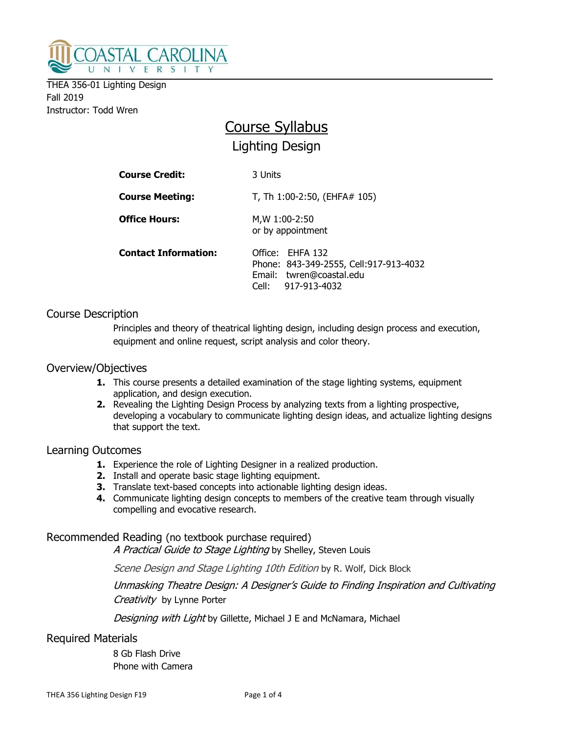

THEA 356-01 Lighting Design Fall 2019 Instructor: Todd Wren

# Course Syllabus Lighting Design

| <b>Course Credit:</b>       | 3 Units                                                                                                       |  |
|-----------------------------|---------------------------------------------------------------------------------------------------------------|--|
| <b>Course Meeting:</b>      | T, Th 1:00-2:50, (EHFA# 105)                                                                                  |  |
| <b>Office Hours:</b>        | M, W 1:00-2:50<br>or by appointment                                                                           |  |
| <b>Contact Information:</b> | Office: EHFA 132<br>Phone: 843-349-2555, Cell: 917-913-4032<br>Email: twren@coastal.edu<br>Cell: 917-913-4032 |  |

## Course Description

Principles and theory of theatrical lighting design, including design process and execution, equipment and online request, script analysis and color theory.

#### Overview/Objectives

- **1.** This course presents a detailed examination of the stage lighting systems, equipment application, and design execution.
- 2. Revealing the Lighting Design Process by analyzing texts from a lighting prospective, developing a vocabulary to communicate lighting design ideas, and actualize lighting designs that support the text.

#### Learning Outcomes

- **1.** Experience the role of Lighting Designer in a realized production.
- 2. Install and operate basic stage lighting equipment.
- **3.** Translate text-based concepts into actionable lighting design ideas.
- 4. Communicate lighting design concepts to members of the creative team through visually compelling and evocative research.

## Recommended Reading (no textbook purchase required)

A Practical Guide to Stage Lighting by Shelley, Steven Louis

Scene Design and Stage Lighting 10th Edition by R. Wolf, Dick Block

Unmasking Theatre Design: A Designer's Guide to Finding Inspiration and Cultivating Creativity by Lynne Porter

Designing with Light by Gillette, Michael J E and McNamara, Michael

Required Materials

 8 Gb Flash Drive Phone with Camera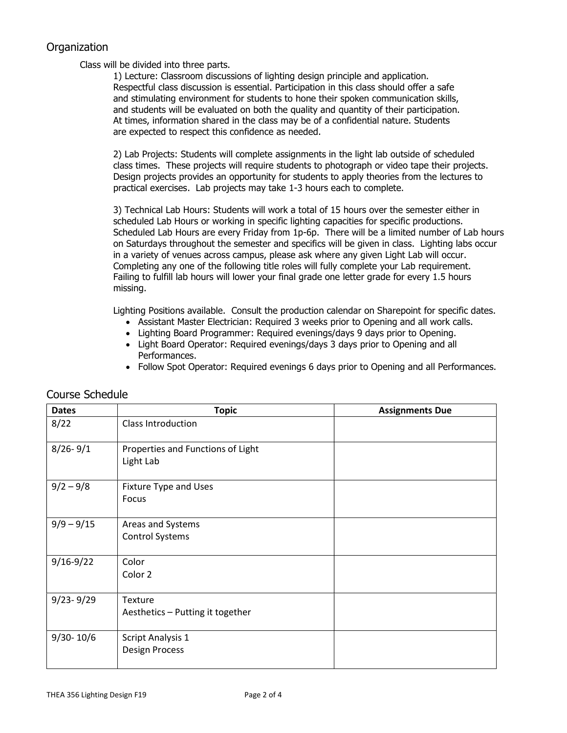## **Organization**

Class will be divided into three parts.

 1) Lecture: Classroom discussions of lighting design principle and application. Respectful class discussion is essential. Participation in this class should offer a safe and stimulating environment for students to hone their spoken communication skills, and students will be evaluated on both the quality and quantity of their participation. At times, information shared in the class may be of a confidential nature. Students are expected to respect this confidence as needed.

2) Lab Projects: Students will complete assignments in the light lab outside of scheduled class times. These projects will require students to photograph or video tape their projects. Design projects provides an opportunity for students to apply theories from the lectures to practical exercises. Lab projects may take 1-3 hours each to complete.

3) Technical Lab Hours: Students will work a total of 15 hours over the semester either in scheduled Lab Hours or working in specific lighting capacities for specific productions. Scheduled Lab Hours are every Friday from 1p-6p. There will be a limited number of Lab hours on Saturdays throughout the semester and specifics will be given in class. Lighting labs occur in a variety of venues across campus, please ask where any given Light Lab will occur. Completing any one of the following title roles will fully complete your Lab requirement. Failing to fulfill lab hours will lower your final grade one letter grade for every 1.5 hours missing.

Lighting Positions available. Consult the production calendar on Sharepoint for specific dates.

- Assistant Master Electrician: Required 3 weeks prior to Opening and all work calls.
- Lighting Board Programmer: Required evenings/days 9 days prior to Opening.
- Light Board Operator: Required evenings/days 3 days prior to Opening and all Performances.
- Follow Spot Operator: Required evenings 6 days prior to Opening and all Performances.

| <b>Dates</b>  | <b>Topic</b>                                       | <b>Assignments Due</b> |
|---------------|----------------------------------------------------|------------------------|
| 8/22          | <b>Class Introduction</b>                          |                        |
| $8/26 - 9/1$  | Properties and Functions of Light<br>Light Lab     |                        |
| $9/2 - 9/8$   | Fixture Type and Uses<br>Focus                     |                        |
| $9/9 - 9/15$  | Areas and Systems<br><b>Control Systems</b>        |                        |
| $9/16 - 9/22$ | Color<br>Color 2                                   |                        |
| $9/23 - 9/29$ | <b>Texture</b><br>Aesthetics - Putting it together |                        |
| $9/30 - 10/6$ | <b>Script Analysis 1</b><br><b>Design Process</b>  |                        |

## Course Schedule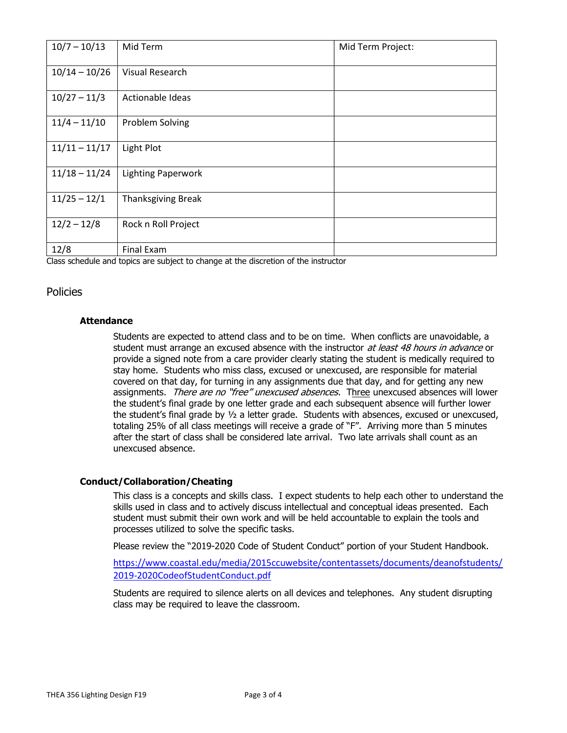| $10/7 - 10/13$  | Mid Term                  | Mid Term Project: |
|-----------------|---------------------------|-------------------|
| $10/14 - 10/26$ | Visual Research           |                   |
| $10/27 - 11/3$  | Actionable Ideas          |                   |
| $11/4 - 11/10$  | <b>Problem Solving</b>    |                   |
| $11/11 - 11/17$ | Light Plot                |                   |
| $11/18 - 11/24$ | <b>Lighting Paperwork</b> |                   |
| $11/25 - 12/1$  | <b>Thanksgiving Break</b> |                   |
| $12/2 - 12/8$   | Rock n Roll Project       |                   |
| 12/8            | <b>Final Exam</b>         |                   |

Class schedule and topics are subject to change at the discretion of the instructor

### Policies

#### **Attendance**

Students are expected to attend class and to be on time. When conflicts are unavoidable, a student must arrange an excused absence with the instructor at least 48 hours in advance or provide a signed note from a care provider clearly stating the student is medically required to stay home. Students who miss class, excused or unexcused, are responsible for material covered on that day, for turning in any assignments due that day, and for getting any new assignments. There are no "free" unexcused absences. Three unexcused absences will lower the student's final grade by one letter grade and each subsequent absence will further lower the student's final grade by  $\frac{1}{2}$  a letter grade. Students with absences, excused or unexcused, totaling 25% of all class meetings will receive a grade of "F". Arriving more than 5 minutes after the start of class shall be considered late arrival. Two late arrivals shall count as an unexcused absence.

#### Conduct/Collaboration/Cheating

This class is a concepts and skills class. I expect students to help each other to understand the skills used in class and to actively discuss intellectual and conceptual ideas presented. Each student must submit their own work and will be held accountable to explain the tools and processes utilized to solve the specific tasks.

Please review the "2019-2020 Code of Student Conduct" portion of your Student Handbook.

https://www.coastal.edu/media/2015ccuwebsite/contentassets/documents/deanofstudents/ 2019-2020CodeofStudentConduct.pdf

Students are required to silence alerts on all devices and telephones. Any student disrupting class may be required to leave the classroom.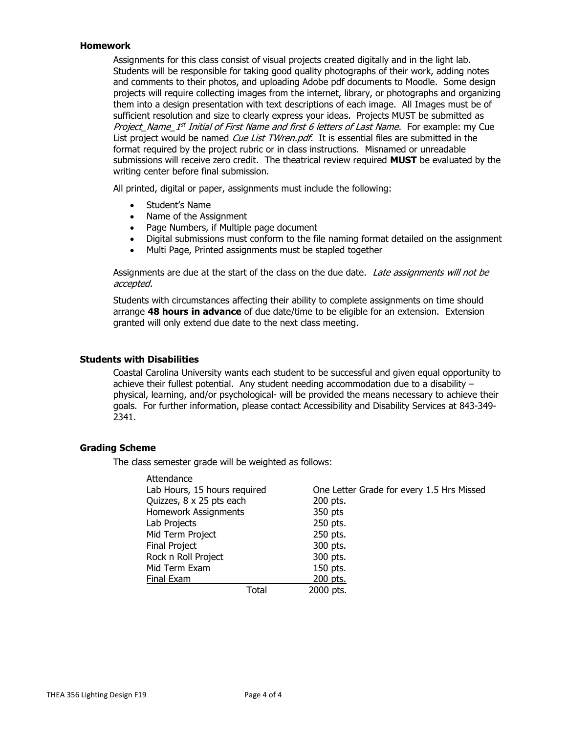#### Homework

Assignments for this class consist of visual projects created digitally and in the light lab. Students will be responsible for taking good quality photographs of their work, adding notes and comments to their photos, and uploading Adobe pdf documents to Moodle. Some design projects will require collecting images from the internet, library, or photographs and organizing them into a design presentation with text descriptions of each image. All Images must be of sufficient resolution and size to clearly express your ideas. Projects MUST be submitted as *Project\_Name\_1<sup>st</sup> Initial of First Name and first 6 letters of Last Name*. For example: my Cue List project would be named Cue List TWren.pdf. It is essential files are submitted in the format required by the project rubric or in class instructions. Misnamed or unreadable submissions will receive zero credit. The theatrical review required **MUST** be evaluated by the writing center before final submission.

All printed, digital or paper, assignments must include the following:

- Student's Name
- Name of the Assignment
- Page Numbers, if Multiple page document
- Digital submissions must conform to the file naming format detailed on the assignment
- Multi Page, Printed assignments must be stapled together

Assignments are due at the start of the class on the due date. Late assignments will not be accepted.

Students with circumstances affecting their ability to complete assignments on time should arrange 48 hours in advance of due date/time to be eligible for an extension. Extension granted will only extend due date to the next class meeting.

#### Students with Disabilities

Coastal Carolina University wants each student to be successful and given equal opportunity to achieve their fullest potential. Any student needing accommodation due to a disability  $$ physical, learning, and/or psychological- will be provided the means necessary to achieve their goals. For further information, please contact Accessibility and Disability Services at 843-349- 2341.

#### Grading Scheme

The class semester grade will be weighted as follows:

| Attendance                   |       |                                           |
|------------------------------|-------|-------------------------------------------|
| Lab Hours, 15 hours required |       | One Letter Grade for every 1.5 Hrs Missed |
| Quizzes, 8 x 25 pts each     |       | 200 pts.                                  |
| <b>Homework Assignments</b>  |       | 350 pts                                   |
| Lab Projects                 |       | 250 pts.                                  |
| Mid Term Project             |       | 250 pts.                                  |
| Final Project                |       | 300 pts.                                  |
| Rock n Roll Project          |       | 300 pts.                                  |
| Mid Term Exam                |       | 150 pts.                                  |
| Final Exam                   |       | 200 pts.                                  |
|                              | Total | 2000 pts.                                 |